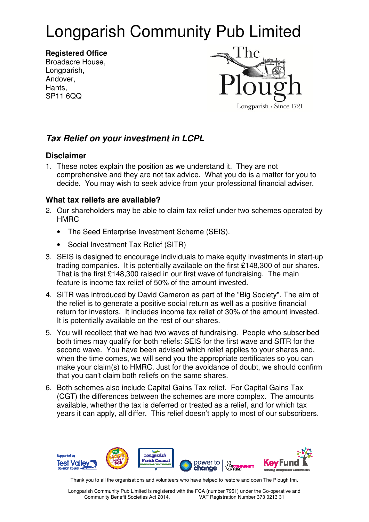# Longparish Community Pub Limited

**Registered Office**  Broadacre House, Longparish, Andover, Hants, SP11 6QQ



## **Tax Relief on your investment in LCPL**

#### **Disclaimer**

1. These notes explain the position as we understand it. They are not comprehensive and they are not tax advice. What you do is a matter for you to decide. You may wish to seek advice from your professional financial adviser.

### **What tax reliefs are available?**

- 2. Our shareholders may be able to claim tax relief under two schemes operated by **HMRC** 
	- The Seed Enterprise Investment Scheme (SEIS).
	- Social Investment Tax Relief (SITR)
- 3. SEIS is designed to encourage individuals to make equity investments in start-up trading companies. It is potentially available on the first £148,300 of our shares. That is the first £148,300 raised in our first wave of fundraising. The main feature is income tax relief of 50% of the amount invested.
- 4. SITR was introduced by David Cameron as part of the "Big Society". The aim of the relief is to generate a positive social return as well as a positive financial return for investors. It includes income tax relief of 30% of the amount invested. It is potentially available on the rest of our shares.
- 5. You will recollect that we had two waves of fundraising. People who subscribed both times may qualify for both reliefs: SEIS for the first wave and SITR for the second wave. You have been advised which relief applies to your shares and, when the time comes, we will send you the appropriate certificates so you can make your claim(s) to HMRC. Just for the avoidance of doubt, we should confirm that you can't claim both reliefs on the same shares.
- 6. Both schemes also include Capital Gains Tax relief. For Capital Gains Tax (CGT) the differences between the schemes are more complex. The amounts available, whether the tax is deferred or treated as a relief, and for which tax years it can apply, all differ. This relief doesn't apply to most of our subscribers.



Thank you to all the organisations and volunteers who have helped to restore and open The Plough Inn.